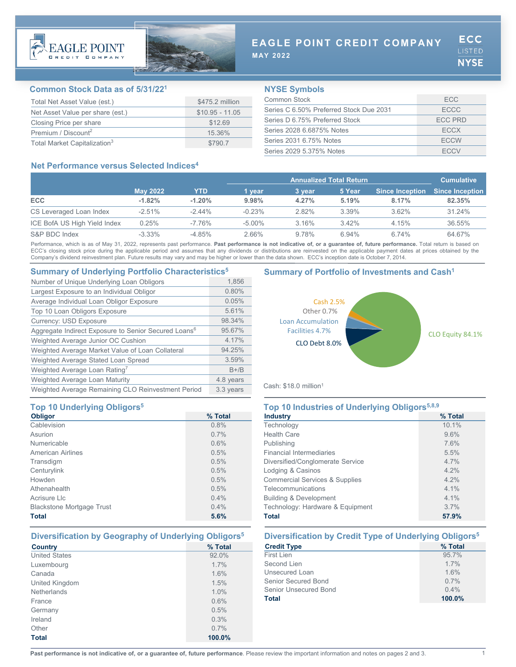



# **EAGLE POINT CREDIT COMPANY**

**MAY 2022**

## **Common Stock Data as of 5/31/221**

| Total Net Asset Value (est.)             | \$475.2 million  |
|------------------------------------------|------------------|
| Net Asset Value per share (est.)         | $$10.95 - 11.05$ |
| Closing Price per share                  | \$12.69          |
| Premium / Discount <sup>2</sup>          | 15.36%           |
| Total Market Capitalization <sup>3</sup> | \$790.7          |

## **NYSE Symbols**

| Common Stock                            | FCC.           |
|-----------------------------------------|----------------|
| Series C 6.50% Preferred Stock Due 2031 | <b>ECCC</b>    |
| Series D 6 75% Preferred Stock          | <b>ECC PRD</b> |
| Series 2028 6.6875% Notes               | <b>FCCX</b>    |
| Series 2031 6.75% Notes                 | <b>FCCW</b>    |
| Series 2029 5.375% Notes                | <b>ECCV</b>    |

## **Net Performance versus Selected Indices4**

|                              |                 |           | <b>Annualized Total Return</b> |        |          | <b>Cumulative</b>      |                        |
|------------------------------|-----------------|-----------|--------------------------------|--------|----------|------------------------|------------------------|
|                              | <b>May 2022</b> | YTD       | 1 vear                         | 3 year | 5 Year   | <b>Since Inception</b> | <b>Since Inception</b> |
| <b>ECC</b>                   | $-1.82%$        | $-1.20%$  | 9.98%                          | 4.27%  | 5.19%    | 8.17%                  | 82.35%                 |
| CS Leveraged Loan Index      | $-2.51\%$       | $-2.44\%$ | $-0.23%$                       | 2.82%  | 3.39%    | 3.62%                  | 31.24%                 |
| ICE BofA US High Yield Index | 0.25%           | $-7.76\%$ | $-5.00\%$                      | 3.16%  | $3.42\%$ | 4.15%                  | 36.55%                 |
| S&P BDC Index                | $-3.33\%$       | $-4.85%$  | 2.66%                          | 9.78%  | 6.94%    | 6.74%                  | 64.67%                 |

Performance, which is as of May 31, 2022, represents past performance. Past performance is not indicative of, or a guarantee of, future performance. Total return is based on ECC's closing stock price during the applicable period and assumes that any dividends or distributions are reinvested on the applicable payment dates at prices obtained by the Company's dividend reinvestment plan. Future results may vary and may be higher or lower than the data shown. ECC's inception date is October 7, 2014.

## **Summary of Underlying Portfolio Characteristics5 Summary of Portfolio of Investments and Cash1**

| Number of Unique Underlying Loan Obligors                        | 1,856     |
|------------------------------------------------------------------|-----------|
| Largest Exposure to an Individual Obligor                        | 0.80%     |
| Average Individual Loan Obligor Exposure                         | 0.05%     |
| Top 10 Loan Obligors Exposure                                    | 5.61%     |
| <b>Currency: USD Exposure</b>                                    | 98.34%    |
| Aggregate Indirect Exposure to Senior Secured Loans <sup>6</sup> | 95.67%    |
| Weighted Average Junior OC Cushion                               | 4 17%     |
| Weighted Average Market Value of Loan Collateral                 | 94.25%    |
| Weighted Average Stated Loan Spread                              | 3.59%     |
| Weighted Average Loan Rating <sup>7</sup>                        | $B+/B$    |
| Weighted Average Loan Maturity                                   | 4.8 years |
| Weighted Average Remaining CLO Reinvestment Period               | 3.3 years |

## **Top 10 Underlying Obligors<sup>5</sup>**

| <b>Obligor</b>                   | % Total |
|----------------------------------|---------|
| Cablevision                      | 0.8%    |
| Asurion                          | 0.7%    |
| Numericable                      | 0.6%    |
| <b>American Airlines</b>         | 0.5%    |
| Transdigm                        | 0.5%    |
| Centurylink                      | 0.5%    |
| Howden                           | 0.5%    |
| Athenahealth                     | 0.5%    |
| Acrisure Llc                     | 0.4%    |
| <b>Blackstone Mortgage Trust</b> | 0.4%    |
| <b>Total</b>                     | 5.6%    |

| <b>Country</b>       | % Total |
|----------------------|---------|
| <b>United States</b> | 92.0%   |
| Luxembourg           | 1.7%    |
| Canada               | 1.6%    |
| United Kingdom       | 1.5%    |
| <b>Netherlands</b>   | 1.0%    |
| France               | 0.6%    |
| Germany              | 0.5%    |
| Ireland              | 0.3%    |
| Other                | 0.7%    |
| <b>Total</b>         | 100.0%  |



Cash: \$18.0 million1

| Top 10 Industries of Underlying Obligors <sup>5,8,9</sup> |         |  |
|-----------------------------------------------------------|---------|--|
| <b>Industry</b>                                           | % Total |  |
| Technology                                                | 10.1%   |  |
| <b>Health Care</b>                                        | 9.6%    |  |
| Publishing                                                | 7.6%    |  |
| <b>Financial Intermediaries</b>                           | 5.5%    |  |
| Diversified/Conglomerate Service                          | 47%     |  |
| Lodging & Casinos                                         | $4.2\%$ |  |
| <b>Commercial Services &amp; Supplies</b>                 | 4.2%    |  |
| Telecommunications                                        | $41\%$  |  |
| <b>Building &amp; Development</b>                         | $41\%$  |  |
| Technology: Hardware & Equipment                          | 37%     |  |
| <b>Total</b>                                              | 57.9%   |  |

## **Diversification by Geography of Underlying Obligors5 Diversification by Credit Type of Underlying Obligors5**

| <b>Credit Type</b>    | % Total |
|-----------------------|---------|
| First Lien            | 95.7%   |
| Second Lien           | 1.7%    |
| Unsecured Loan        | 1.6%    |
| Senior Secured Bond   | 0.7%    |
| Senior Unsecured Bond | $0.4\%$ |
| Total                 | 100.0%  |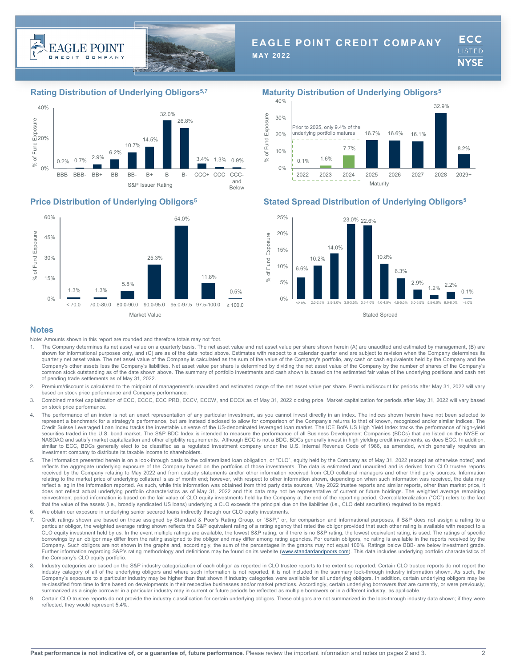



# **EAGLE POINT CREDIT COMPANY**

**MAY 2022**

ECC **LISTED NYSE** 

## **Rating Distribution of Underlying Obligors5,7 Maturity Distribution of Underlying Obligors5**







## **Price Distribution of Underlying Obligors5 Stated Spread Distribution of Underlying Obligors5**



### **Notes**

Note: Amounts shown in this report are rounded and therefore totals may not foot.

- The Company determines its net asset value on a quarterly basis. The net asset value and net asset value per share shown herein (A) are unaudited and estimated by management, (B) are shown for informational purposes only, and (C) are as of the date noted above. Estimates with respect to a calendar quarter end are subject to revision when the Company determines its quarterly net asset value. The net asset value of the Company is calculated as the sum of the value of the Company's portfolio, any cash or cash equivalents held by the Company and the Company's other assets less the Company's liabilities. Net asset value per share is determined by dividing the net asset value of the Company by the number of shares of the Company's common stock outstanding as of the date shown above. The summary of portfolio investments and cash shown is based on the estimated fair value of the underlying positions and cash net of pending trade settlements as of May 31, 2022.
- Premium/discount is calculated to the midpoint of management's unaudited and estimated range of the net asset value per share. Premium/discount for periods after May 31, 2022 will vary based on stock price performance and Company performance.
- 3. Combined market capitalization of ECC, ECCC, ECC PRD, ECCV, ECCW, and ECCX as of May 31, 2022 closing price. Market capitalization for periods after May 31, 2022 will vary based on stock price performance.
- 4. The performance of an index is not an exact representation of any particular investment, as you cannot invest directly in an index. The indices shown herein have not been selected to represent a benchmark for a strategy's performance, but are instead disclosed to allow for comparison of the Company's returns to that of known, recognized and/or similar indices. The<br>Credit Suisse Leveraged Loan Index tr securities traded in the U.S. bond market. The S&P BDC Index is intended to measure the performance of all Business Development Companies (BDCs) that are listed on the NYSE or NASDAQ and satisfy market capitalization and other eligibility requirements. Although ECC is not a BDC, BDCs generally invest in high yielding credit investments, as does ECC. In addition, similar to ECC, BDCs generally elect to be classified as a regulated investment company under the U.S. Internal Revenue Code of 1986, as amended, which generally requires an investment company to distribute its taxable income to shareholders.
- 5. The information presented herein is on a look-through basis to the collateralized loan obligation, or "CLO", equity held by the Company as of May 31, 2022 (except as otherwise noted) and reflects the aggregate underlying exposure of the Company based on the portfolios of those investments. The data is estimated and unaudited and is derived from CLO trustee reports received by the Company relating to May 2022 and from custody statements and/or other information received from CLO collateral managers and other third party sources. Information relating to the market price of underlying collateral is as of month end; however, with respect to other information shown, depending on when such information was received, the data may reflect a lag in the information reported. As such, while this information was obtained from third party data sources, May 2022 trustee reports and similar reports, other than market price, it does not reflect actual underlying portfolio characteristics as of May 31, 2022 and this data may not be representative of current or future holdings. The weighted average remaining reinvestment period information is based on the fair value of CLO equity investments held by the Company at the end of the reporting period. Overcollateralization ("OC") refers to the fact that the value of the assets (i.e., broadly syndicated US loans) underlying a CLO exceeds the principal due on the liabilities (i.e., CLO debt securities) required to be repaid.
- 6. We obtain our exposure in underlying senior secured loans indirectly through our CLO equity investments.
- 7. Credit ratings shown are based on those assigned by Standard & Poor's Rating Group, or "S&P," or, for comparison and informational purposes, if S&P does not assign a rating to a particular obligor, the weighted average rating shown reflects the S&P equivalent rating of a rating agency that rated the obligor provided that such other rating is available with respect to a CLO equity investment held by us. In the event multiple ratings are available, the lowest S&P rating, or if there is no S&P rating, the lowest equivalent rating, is used. The ratings of specific borrowings by an obligor may differ from the rating assigned to the obligor and may differ among rating agencies. For certain obligors, no rating is available in the reports received by the<br>Company. Such obligors are not s Further information regarding S&P's rating methodology and definitions may be found on its website [\(www.standardandpoors.com\)](http://www.standardandpoors.com/). This data includes underlying portfolio characteristics of the Company's CLO equity portfolio.
- 8. Industry categories are based on the S&P industry categorization of each obligor as reported in CLO trustee reports to the extent so reported. Certain CLO trustee reports do not report the industry category of all of the underlying obligors and where such information is not reported, it is not included in the summary look-through industry information shown. As such, the Company's exposure to a particular industry may be higher than that shown if industry categories were available for all underlying obligors. In addition, certain underlying obligors may be re-classified from time to time based on developments in their respective businesses and/or market practices. Accordingly, certain underlying borrowers that are currently, or were previously, summarized as a single borrower in a particular industry may in current or future periods be reflected as multiple borrowers or in a different industry, as applicable
- 9. Certain CLO trustee reports do not provide the industry classification for certain underlying obligors. These obligors are not summarized in the look-through industry data shown; if they were reflected, they would represent 5.4%.